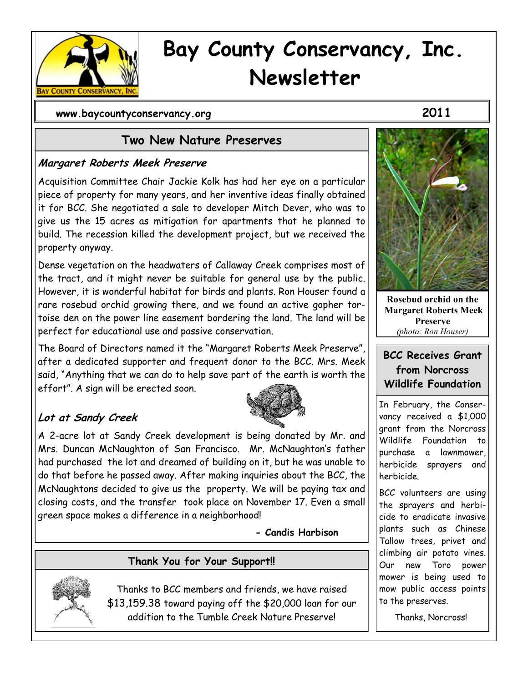

# **Bay County Conservancy, Inc. Newsletter**

 **www.baycountyconservancy.org 2011**

# **Two New Nature Preserves**

#### **Margaret Roberts Meek Preserve**

Acquisition Committee Chair Jackie Kolk has had her eye on a particular piece of property for many years, and her inventive ideas finally obtained it for BCC. She negotiated a sale to developer Mitch Dever, who was to give us the 15 acres as mitigation for apartments that he planned to build. The recession killed the development project, but we received the property anyway.

Dense vegetation on the headwaters of Callaway Creek comprises most of the tract, and it might never be suitable for general use by the public. However, it is wonderful habitat for birds and plants. Ron Houser found a rare rosebud orchid growing there, and we found an active gopher tortoise den on the power line easement bordering the land. The land will be perfect for educational use and passive conservation.

The Board of Directors named it the "Margaret Roberts Meek Preserve", after a dedicated supporter and frequent donor to the BCC. Mrs. Meek said, "Anything that we can do to help save part of the earth is worth the effort". A sign will be erected soon.



# **Lot at Sandy Creek**

A 2-acre lot at Sandy Creek development is being donated by Mr. and Mrs. Duncan McNaughton of San Francisco. Mr. McNaughton's father had purchased the lot and dreamed of building on it, but he was unable to do that before he passed away. After making inquiries about the BCC, the McNaughtons decided to give us the property. We will be paying tax and closing costs, and the transfer took place on November 17. Even a small green space makes a difference in a neighborhood!

**- Candis Harbison**

# **Thank You for Your Support!!**



Thanks to BCC members and friends, we have raised \$13,159.38 toward paying off the \$20,000 loan for our addition to the Tumble Creek Nature Preserve!



**Rosebud orchid on the Margaret Roberts Meek Preserve** *(photo: Ron Houser)*

#### **BCC Receives Grant from Norcross Wildlife Foundation**

In February, the Conservancy received a \$1,000 grant from the Norcross Wildlife Foundation to purchase a lawnmower, herbicide sprayers and herbicide.

BCC volunteers are using the sprayers and herbicide to eradicate invasive plants such as Chinese Tallow trees, privet and climbing air potato vines. Our new Toro power mower is being used to mow public access points to the preserves.

Thanks, Norcross!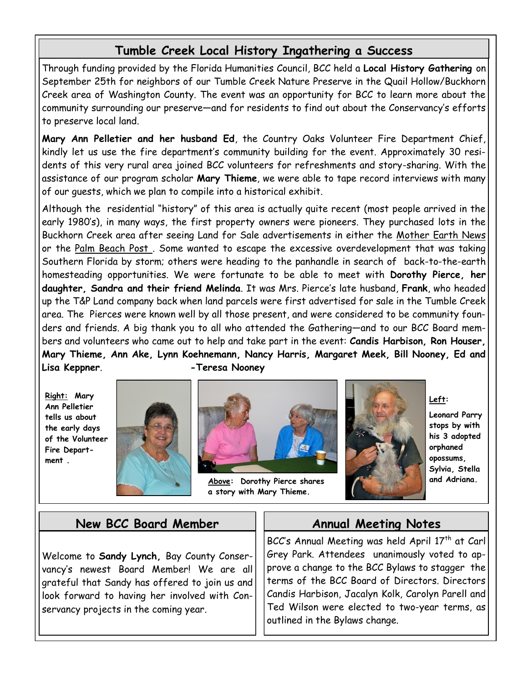# **Tumble Creek Local History Ingathering a Success**

Through funding provided by the Florida Humanities Council, BCC held a **Local History Gathering** on September 25th for neighbors of our Tumble Creek Nature Preserve in the Quail Hollow/Buckhorn Creek area of Washington County. The event was an opportunity for BCC to learn more about the community surrounding our preserve—and for residents to find out about the Conservancy's efforts to preserve local land.

**Mary Ann Pelletier and her husband Ed**, the Country Oaks Volunteer Fire Department Chief, kindly let us use the fire department's community building for the event. Approximately 30 residents of this very rural area joined BCC volunteers for refreshments and story-sharing. With the assistance of our program scholar **Mary Thieme**, we were able to tape record interviews with many of our guests, which we plan to compile into a historical exhibit.

Although the residential "history" of this area is actually quite recent (most people arrived in the early 1980's), in many ways, the first property owners were pioneers. They purchased lots in the Buckhorn Creek area after seeing Land for Sale advertisements in either the Mother Earth News or the Palm Beach Post. Some wanted to escape the excessive overdevelopment that was taking Southern Florida by storm; others were heading to the panhandle in search of back-to-the-earth homesteading opportunities. We were fortunate to be able to meet with **Dorothy Pierce, her daughter, Sandra and their friend Melinda**. It was Mrs. Pierce's late husband, **Frank**, who headed up the T&P Land company back when land parcels were first advertised for sale in the Tumble Creek area. The Pierces were known well by all those present, and were considered to be community founders and friends. A big thank you to all who attended the Gathering—and to our BCC Board members and volunteers who came out to help and take part in the event: **Candis Harbison, Ron Houser, Mary Thieme, Ann Ake, Lynn Koehnemann, Nancy Harris, Margaret Meek, Bill Nooney, Ed and Lisa Keppner**. **-Teresa Nooney** 

**Right: Mary Ann Pelletier tells us about the early days of the Volunteer Fire Department .**





**Above: Dorothy Pierce shares a story with Mary Thieme.**



**Left:** 

**Leonard Parry stops by with his 3 adopted orphaned opossums, Sylvia, Stella and Adriana.**

### **New BCC Board Member**

Welcome to **Sandy Lynch,** Bay County Conservancy's newest Board Member! We are all grateful that Sandy has offered to join us and look forward to having her involved with Conservancy projects in the coming year.

# **Annual Meeting Notes**

BCC's Annual Meeting was held April  $17<sup>th</sup>$  at Carl Grey Park. Attendees unanimously voted to approve a change to the BCC Bylaws to stagger the terms of the BCC Board of Directors. Directors Candis Harbison, Jacalyn Kolk, Carolyn Parell and Ted Wilson were elected to two-year terms, as outlined in the Bylaws change.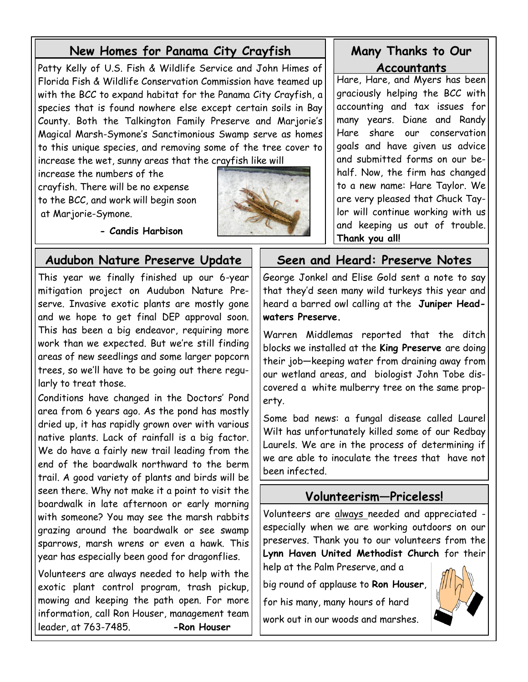# **New Homes for Panama City Crayfish**

Patty Kelly of U.S. Fish & Wildlife Service and John Himes of Florida Fish & Wildlife Conservation Commission have teamed up with the BCC to expand habitat for the Panama City Crayfish, a species that is found nowhere else except certain soils in Bay County. Both the Talkington Family Preserve and Marjorie's Magical Marsh-Symone's Sanctimonious Swamp serve as homes to this unique species, and removing some of the tree cover to increase the wet, sunny areas that the crayfish like will

increase the numbers of the crayfish. There will be no expense to the BCC, and work will begin soon at Marjorie-Symone.



 **- Candis Harbison**

This year we finally finished up our 6-year mitigation project on Audubon Nature Preserve. Invasive exotic plants are mostly gone and we hope to get final DEP approval soon. This has been a big endeavor, requiring more work than we expected. But we're still finding areas of new seedlings and some larger popcorn trees, so we'll have to be going out there regularly to treat those.

Conditions have changed in the Doctors' Pond area from 6 years ago. As the pond has mostly dried up, it has rapidly grown over with various native plants. Lack of rainfall is a big factor. We do have a fairly new trail leading from the end of the boardwalk northward to the berm trail. A good variety of plants and birds will be seen there. Why not make it a point to visit the boardwalk in late afternoon or early morning with someone? You may see the marsh rabbits grazing around the boardwalk or see swamp sparrows, marsh wrens or even a hawk. This year has especially been good for dragonflies.

Volunteers are always needed to help with the exotic plant control program, trash pickup, mowing and keeping the path open. For more information, call Ron Houser, management team leader, at 763-7485. **-Ron Houser**

### **Many Thanks to Our Accountants**

Hare, Hare, and Myers has been graciously helping the BCC with accounting and tax issues for many years. Diane and Randy Hare share our conservation goals and have given us advice and submitted forms on our behalf. Now, the firm has changed to a new name: Hare Taylor. We are very pleased that Chuck Taylor will continue working with us and keeping us out of trouble. **Thank you all!** 

### **Audubon Nature Preserve Update Seen and Heard: Preserve Notes**

George Jonkel and Elise Gold sent a note to say that they'd seen many wild turkeys this year and heard a barred owl calling at the **Juniper Headwaters Preserve.** 

Warren Middlemas reported that the ditch blocks we installed at the **King Preserve** are doing their job—keeping water from draining away from our wetland areas, and biologist John Tobe discovered a white mulberry tree on the same property.

Some bad news: a fungal disease called Laurel Wilt has unfortunately killed some of our Redbay Laurels. We are in the process of determining if we are able to inoculate the trees that have not been infected.

### **Volunteerism—Priceless!**

Volunteers are always needed and appreciated especially when we are working outdoors on our preserves. Thank you to our volunteers from the **Lynn Haven United Methodist Church** for their help at the Palm Preserve, and a

big round of applause to **Ron Houser**, for his many, many hours of hard work out in our woods and marshes.